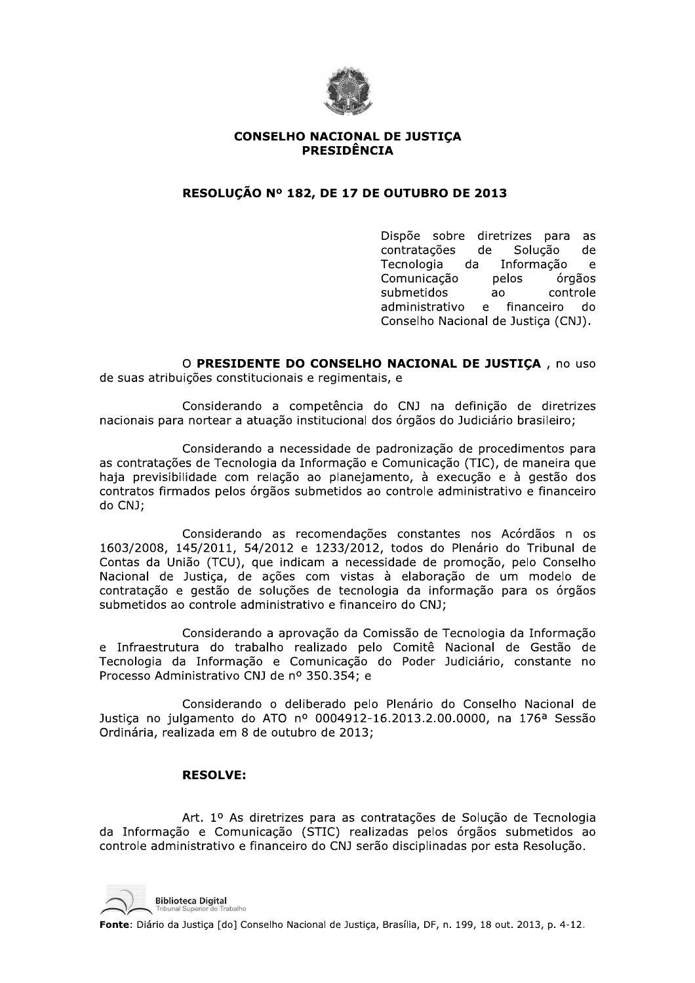

#### **CONSELHO NACIONAL DE JUSTICA PRESIDÊNCIA**

# RESOLUÇÃO Nº 182, DE 17 DE OUTUBRO DE 2013

Dispõe sobre diretrizes para as contratações de Solução de Tecnologia da Informação  $\mathbf{e}$ Comunicação pelos órgãos submetidos  $a^{\alpha}$ controle administrativo e financeiro do Conselho Nacional de Justica (CNJ).

O PRESIDENTE DO CONSELHO NACIONAL DE JUSTIÇA, no uso de suas atribuições constitucionais e regimentais, e

Considerando a competência do CNJ na definição de diretrizes nacionais para nortear a atuação institucional dos órgãos do Judiciário brasileiro;

Considerando a necessidade de padronização de procedimentos para as contratações de Tecnologia da Informação e Comunicação (TIC), de maneira que haja previsibilidade com relação ao planejamento, à execução e à gestão dos contratos firmados pelos órgãos submetidos ao controle administrativo e financeiro do CNJ;

Considerando as recomendações constantes nos Acórdãos n os 1603/2008, 145/2011, 54/2012 e 1233/2012, todos do Plenário do Tribunal de Contas da União (TCU), que indicam a necessidade de promoção, pelo Conselho Nacional de Justiça, de ações com vistas à elaboração de um modelo de contratação e gestão de soluções de tecnologia da informação para os órgãos submetidos ao controle administrativo e financeiro do CNJ;

Considerando a aprovação da Comissão de Tecnologia da Informação e Infraestrutura do trabalho realizado pelo Comitê Nacional de Gestão de Tecnologia da Informação e Comunicação do Poder Judiciário, constante no Processo Administrativo CNJ de nº 350.354; e

Considerando o deliberado pelo Plenário do Conselho Nacional de Justica no julgamento do ATO nº 0004912-16.2013.2.00.0000, na 176ª Sessão Ordinária, realizada em 8 de outubro de 2013;

## **RESOLVE:**

Art. 1º As diretrizes para as contratações de Solução de Tecnologia da Informação e Comunicação (STIC) realizadas pelos órgãos submetidos ao controle administrativo e financeiro do CNJ serão disciplinadas por esta Resolução.

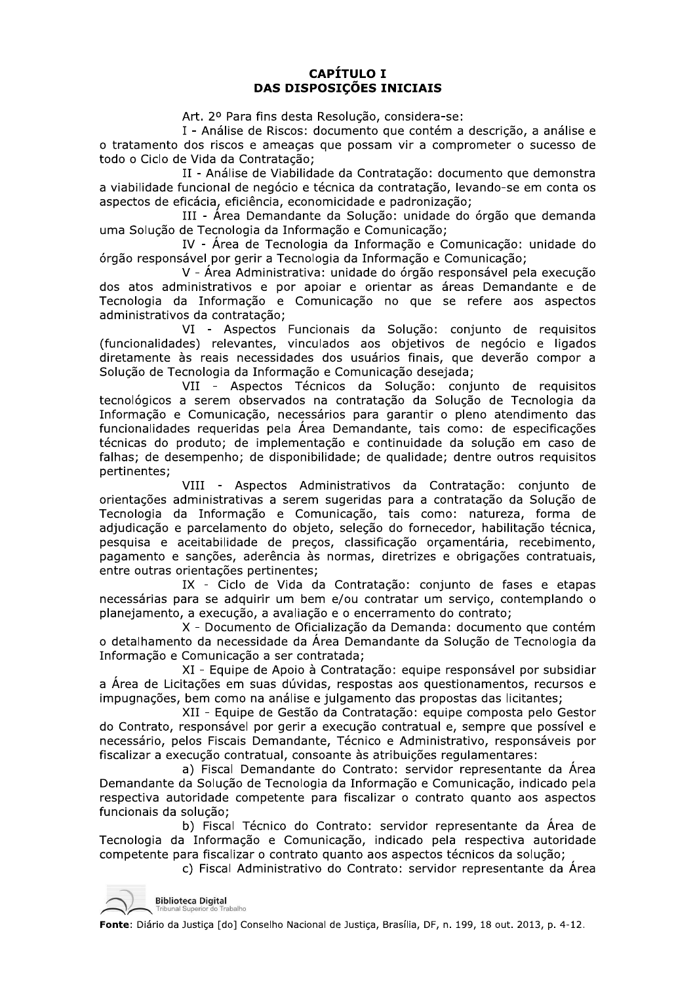# **CAPÍTULO I DAS DISPOSICÕES INICIAIS**

Art. 2º Para fins desta Resolução, considera-se:

I - Análise de Riscos: documento que contém a descrição, a análise e o tratamento dos riscos e ameaças que possam vir a comprometer o sucesso de todo o Ciclo de Vida da Contratação;

II - Análise de Viabilidade da Contratação: documento que demonstra a viabilidade funcional de negócio e técnica da contratação, levando-se em conta os aspectos de eficácia, eficiência, economicidade e padronização;

III - Área Demandante da Solução: unidade do órgão que demanda uma Solução de Tecnologia da Informação e Comunicação;

IV - Área de Tecnologia da Informação e Comunicação: unidade do órgão responsável por gerir a Tecnologia da Informação e Comunicação;

V - Área Administrativa: unidade do órgão responsável pela execução dos atos administrativos e por apoiar e orientar as áreas Demandante e de Tecnologia da Informação e Comunicação no que se refere aos aspectos administrativos da contratação;

VI - Aspectos Funcionais da Solução: conjunto de requisitos (funcionalidades) relevantes, vinculados aos objetivos de negócio e ligados diretamente às reais necessidades dos usuários finais, que deverão compor a Solução de Tecnologia da Informação e Comunicação desejada;

VII - Aspectos Técnicos da Solução: conjunto de requisitos tecnológicos a serem observados na contratação da Solução de Tecnologia da Informação e Comunicação, necessários para garantir o pleno atendimento das funcionalidades requeridas pela Área Demandante, tais como: de especificações técnicas do produto; de implementação e continuidade da solução em caso de falhas; de desempenho; de disponibilidade; de qualidade; dentre outros requisitos pertinentes;

VIII - Aspectos Administrativos da Contratação: conjunto de orientações administrativas a serem sugeridas para a contratação da Solução de Tecnologia da Informação e Comunicação, tais como: natureza, forma de adjudicação e parcelamento do objeto, seleção do fornecedor, habilitação técnica, pesquisa e aceitabilidade de preços, classificação orçamentária, recebimento, pagamento e sancões, aderência às normas, diretrizes e obrigações contratuais, entre outras orientações pertinentes:

IX - Ciclo de Vida da Contratação: conjunto de fases e etapas necessárias para se adquirir um bem e/ou contratar um servico, contemplando o planejamento, a execução, a avaliação e o encerramento do contrato;

X - Documento de Oficialização da Demanda: documento que contém o detalhamento da necessidade da Área Demandante da Solução de Tecnologia da Informação e Comunicação a ser contratada;

XI - Equipe de Apoio à Contratação: equipe responsável por subsidiar a Área de Licitações em suas dúvidas, respostas aos questionamentos, recursos e impugnações, bem como na análise e julgamento das propostas das licitantes;

XII - Equipe de Gestão da Contratação: equipe composta pelo Gestor do Contrato, responsável por gerir a execução contratual e, sempre que possível e necessário, pelos Fiscais Demandante, Técnico e Administrativo, responsáveis por fiscalizar a execução contratual, consoante às atribuições regulamentares:

a) Fiscal Demandante do Contrato: servidor representante da Área Demandante da Solução de Tecnologia da Informação e Comunicação, indicado pela respectiva autoridade competente para fiscalizar o contrato quanto aos aspectos funcionais da solução;

b) Fiscal Técnico do Contrato: servidor representante da Área de Tecnologia da Informação e Comunicação, indicado pela respectiva autoridade competente para fiscalizar o contrato quanto aos aspectos técnicos da solução;

c) Fiscal Administrativo do Contrato: servidor representante da Área

**Biblioteca Digital**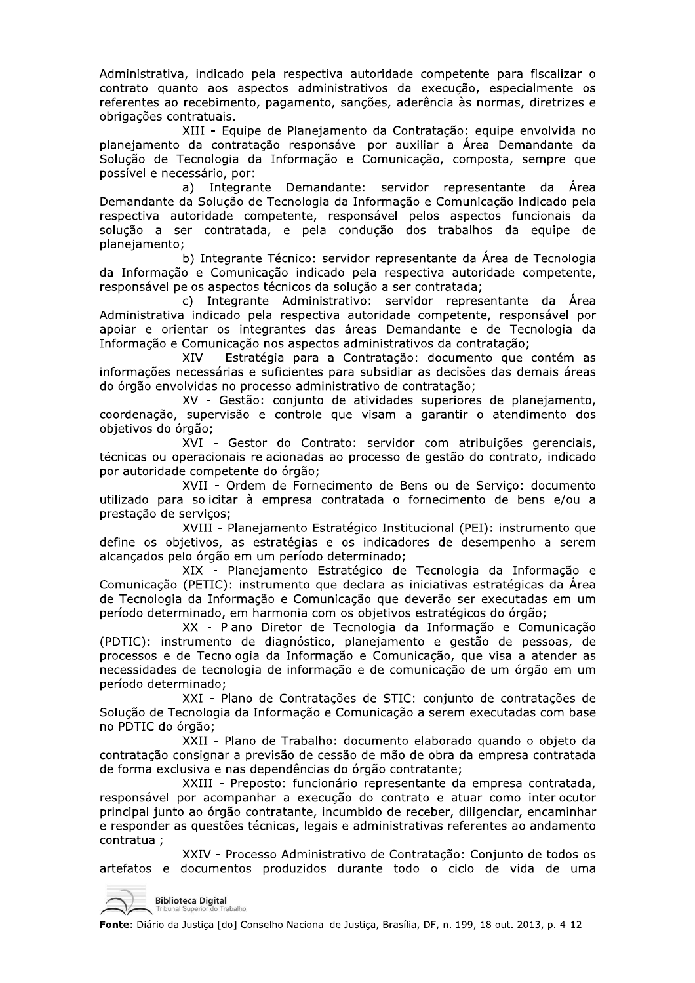Administrativa, indicado pela respectiva autoridade competente para fiscalizar o contrato quanto aos aspectos administrativos da execução, especialmente os referentes ao recebimento, pagamento, sanções, aderência às normas, diretrizes e obrigações contratuais.

XIII - Equipe de Planejamento da Contratação: equipe envolvida no planejamento da contratação responsável por auxiliar a Área Demandante da Solução de Tecnologia da Informação e Comunicação, composta, sempre que possível e necessário, por:

Integrante Demandante: servidor representante da Área  $a)$ Demandante da Solução de Tecnologia da Informação e Comunicação indicado pela respectiva autoridade competente, responsável pelos aspectos funcionais da solução a ser contratada, e pela condução dos trabalhos da equipe de planejamento;

b) Integrante Técnico: servidor representante da Área de Tecnologia da Informação e Comunicação indicado pela respectiva autoridade competente, responsável pelos aspectos técnicos da solução a ser contratada;

c) Integrante Administrativo: servidor representante da Área Administrativa indicado pela respectiva autoridade competente, responsável por apoiar e orientar os integrantes das áreas Demandante e de Tecnologia da Informação e Comunicação nos aspectos administrativos da contratação;

XIV - Estratégia para a Contratação: documento que contém as informações necessárias e suficientes para subsidiar as decisões das demais áreas do órgão envolvidas no processo administrativo de contratação;

XV - Gestão: conjunto de atividades superiores de planejamento, coordenação, supervisão e controle que visam a garantir o atendimento dos objetivos do órgão;

XVI - Gestor do Contrato: servidor com atribuições gerenciais, técnicas ou operacionais relacionadas ao processo de gestão do contrato, indicado por autoridade competente do órgão;

XVII - Ordem de Fornecimento de Bens ou de Servico: documento utilizado para solicitar à empresa contratada o fornecimento de bens e/ou a prestação de serviços;

XVIII - Planejamento Estratégico Institucional (PEI): instrumento que define os objetivos, as estratégias e os indicadores de desempenho a serem alcancados pelo órgão em um período determinado;

XIX - Planejamento Estratégico de Tecnologia da Informação e Comunicação (PETIC): instrumento que declara as iniciativas estratégicas da Área de Tecnologia da Informação e Comunicação que deverão ser executadas em um período determinado, em harmonia com os objetivos estratégicos do órgão;

XX - Plano Diretor de Tecnologia da Informação e Comunicação (PDTIC): instrumento de diagnóstico, planejamento e gestão de pessoas, de processos e de Tecnologia da Informação e Comunicação, que visa a atender as necessidades de tecnologia de informação e de comunicação de um órgão em um período determinado;

XXI - Plano de Contratações de STIC: conjunto de contratações de Solução de Tecnologia da Informação e Comunicação a serem executadas com base no PDTIC do órgão;

XXII - Plano de Trabalho: documento elaborado quando o objeto da contratação consignar a previsão de cessão de mão de obra da empresa contratada de forma exclusiva e nas dependências do órgão contratante;

XXIII - Preposto: funcionário representante da empresa contratada, responsável por acompanhar a execução do contrato e atuar como interlocutor principal junto ao órgão contratante, incumbido de receber, diligenciar, encaminhar e responder as questões técnicas, legais e administrativas referentes ao andamento contratual:

XXIV - Processo Administrativo de Contratação: Conjunto de todos os artefatos e documentos produzidos durante todo o ciclo de vida de uma

**Biblioteca Digital** Trabalho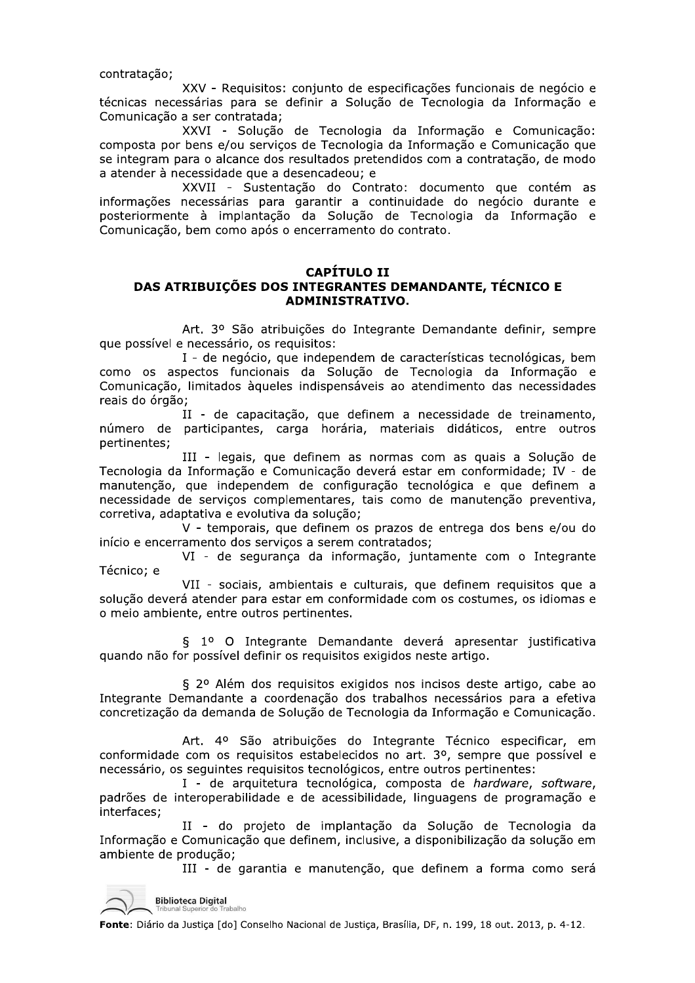contratação;

XXV - Requisitos: conjunto de especificações funcionais de negócio e técnicas necessárias para se definir a Solução de Tecnologia da Informação e Comunicação a ser contratada;

XXVI - Solução de Tecnologia da Informação e Comunicação: composta por bens e/ou serviços de Tecnologia da Informação e Comunicação que se integram para o alcance dos resultados pretendidos com a contratação, de modo a atender à necessidade que a desencadeou; e

XXVII - Sustentação do Contrato: documento que contém as informações necessárias para garantir a continuidade do negócio durante e posteriormente à implantação da Solução de Tecnologia da Informação e Comunicação, bem como após o encerramento do contrato.

#### **CAPÍTULO II** DAS ATRIBUIÇÕES DOS INTEGRANTES DEMANDANTE, TÉCNICO E ADMINISTRATIVO.

Art. 3º São atribuições do Integrante Demandante definir, sempre que possível e necessário, os requisitos:

I - de negócio, que independem de características tecnológicas, bem como os aspectos funcionais da Solução de Tecnologia da Informação e Comunicação, limitados àqueles indispensáveis ao atendimento das necessidades reais do órgão;

II - de capacitação, que definem a necessidade de treinamento, número de participantes, carga horária, materiais didáticos, entre outros pertinentes;

III - legais, que definem as normas com as quais a Solução de Tecnologia da Informação e Comunicação deverá estar em conformidade; IV - de manutenção, que independem de configuração tecnológica e que definem a necessidade de serviços complementares, tais como de manutenção preventiva, corretiva, adaptativa e evolutiva da solução;

V - temporais, que definem os prazos de entrega dos bens e/ou do início e encerramento dos serviços a serem contratados;

VI - de segurança da informação, juntamente com o Integrante Técnico; e

VII - sociais, ambientais e culturais, que definem requisitos que a solução deverá atender para estar em conformidade com os costumes, os idiomas e o meio ambiente, entre outros pertinentes.

§ 1º O Integrante Demandante deverá apresentar justificativa quando não for possível definir os requisitos exigidos neste artigo.

§ 2º Além dos requisitos exigidos nos incisos deste artigo, cabe ao Integrante Demandante a coordenação dos trabalhos necessários para a efetiva concretização da demanda de Solução de Tecnologia da Informação e Comunicação.

Art. 4º São atribuições do Integrante Técnico especificar, em conformidade com os requisitos estabelecidos no art. 3º, sempre que possível e necessário, os seguintes requisitos tecnológicos, entre outros pertinentes:

I - de arquitetura tecnológica, composta de hardware, software, padrões de interoperabilidade e de acessibilidade, linguagens de programação e interfaces;

II - do projeto de implantação da Solução de Tecnologia da Informação e Comunicação que definem, inclusive, a disponibilização da solução em ambiente de produção;

III - de garantia e manutenção, que definem a forma como será

**Biblioteca Digital**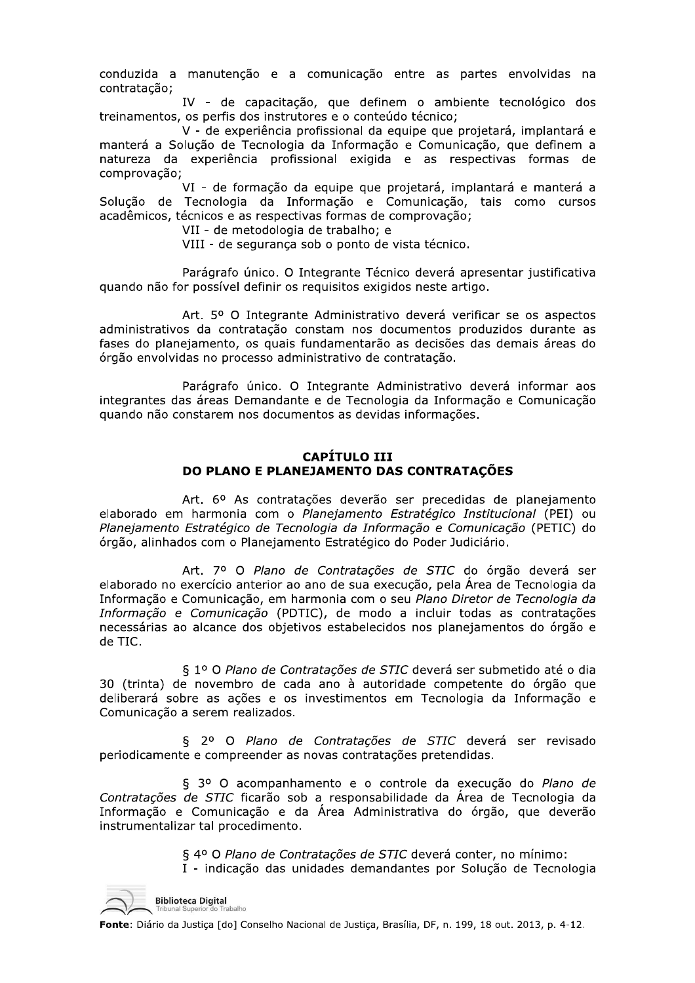conduzida a manutenção e a comunicação entre as partes envolvidas na contratacão:

IV - de capacitação, que definem o ambiente tecnológico dos treinamentos, os perfis dos instrutores e o conteúdo técnico;

V - de experiência profissional da equipe que projetará, implantará e manterá a Solução de Tecnologia da Informação e Comunicação, que definem a natureza da experiência profissional exigida e as respectivas formas de comprovação;

VI - de formação da equipe que projetará, implantará e manterá a Solução de Tecnologia da Informação e Comunicação, tais como cursos acadêmicos, técnicos e as respectivas formas de comprovação;

VII - de metodologia de trabalho; e

VIII - de segurança sob o ponto de vista técnico.

Parágrafo único. O Integrante Técnico deverá apresentar justificativa quando não for possível definir os requisitos exigidos neste artigo.

Art. 5º O Integrante Administrativo deverá verificar se os aspectos administrativos da contratação constam nos documentos produzidos durante as fases do planejamento, os quais fundamentarão as decisões das demais áreas do órgão envolvidas no processo administrativo de contratação.

Parágrafo único. O Integrante Administrativo deverá informar aos integrantes das áreas Demandante e de Tecnologia da Informação e Comunicação quando não constarem nos documentos as devidas informações.

## **CAPÍTULO III** DO PLANO E PLANEJAMENTO DAS CONTRATAÇÕES

Art. 6º As contratações deverão ser precedidas de planejamento elaborado em harmonia com o Planejamento Estratégico Institucional (PEI) ou Planejamento Estratégico de Tecnologia da Informação e Comunicação (PETIC) do órgão, alinhados com o Planejamento Estratégico do Poder Judiciário.

Art. 7º O Plano de Contratações de STIC do órgão deverá ser elaborado no exercício anterior ao ano de sua execução, pela Área de Tecnologia da Informação e Comunicação, em harmonia com o seu Plano Diretor de Tecnologia da Informação e Comunicação (PDTIC), de modo a incluir todas as contratações necessárias ao alcance dos objetivos estabelecidos nos planejamentos do órgão e de TIC.

§ 1º O Plano de Contratações de STIC deverá ser submetido até o dia 30 (trinta) de novembro de cada ano à autoridade competente do órgão que deliberará sobre as ações e os investimentos em Tecnologia da Informação e Comunicação a serem realizados.

§ 2º O Plano de Contratações de STIC deverá ser revisado periodicamente e compreender as novas contratações pretendidas.

§ 3º O acompanhamento e o controle da execução do Plano de Contratações de STIC ficarão sob a responsabilidade da Área de Tecnologia da Informação e Comunicação e da Área Administrativa do órgão, que deverão instrumentalizar tal procedimento.

> § 4º O Plano de Contratações de STIC deverá conter, no mínimo: I - indicação das unidades demandantes por Solução de Tecnologia

**Biblioteca Digital**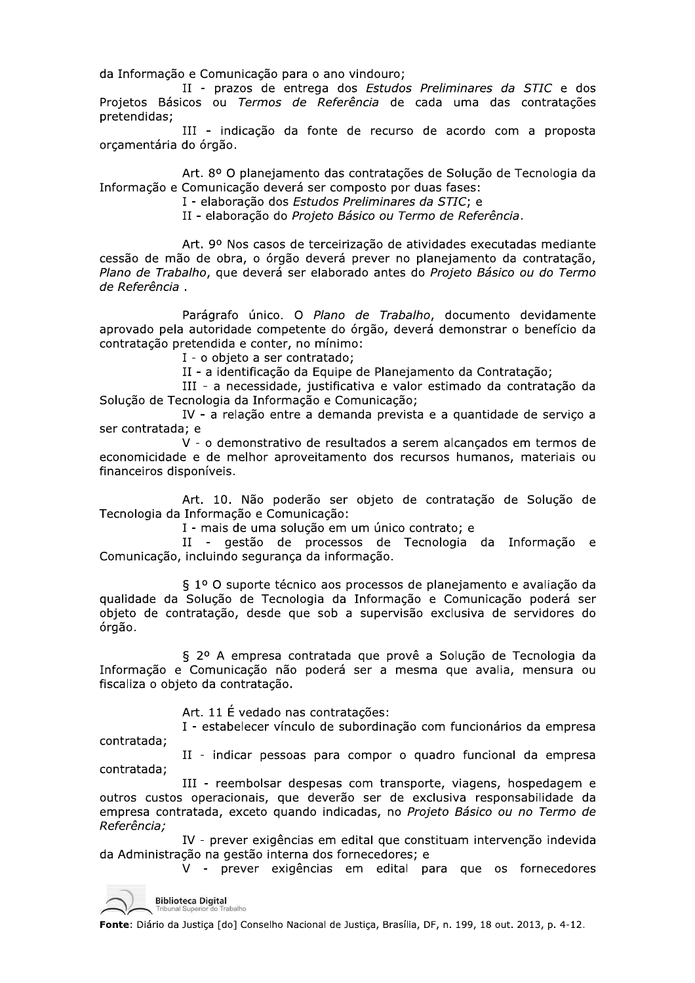da Informação e Comunicação para o ano vindouro;

II - prazos de entrega dos Estudos Preliminares da STIC e dos Projetos Básicos ou Termos de Referência de cada uma das contratações pretendidas;

III - indicação da fonte de recurso de acordo com a proposta orçamentária do órgão.

Art. 8º O planejamento das contratações de Solução de Tecnologia da Informação e Comunicação deverá ser composto por duas fases:

I - elaboração dos Estudos Preliminares da STIC; e

II - elaboração do Projeto Básico ou Termo de Referência.

Art. 9º Nos casos de terceirização de atividades executadas mediante cessão de mão de obra, o órgão deverá prever no planejamento da contratação, Plano de Trabalho, que deverá ser elaborado antes do Projeto Básico ou do Termo de Referência.

Parágrafo único. O Plano de Trabalho, documento devidamente aprovado pela autoridade competente do órgão, deverá demonstrar o benefício da contratação pretendida e conter, no mínimo:

I - o objeto a ser contratado;

II - a identificação da Equipe de Planejamento da Contratação;

III - a necessidade, justificativa e valor estimado da contratação da Solucão de Tecnologia da Informação e Comunicação;

IV - a relação entre a demanda prevista e a quantidade de serviço a ser contratada; e

V - o demonstrativo de resultados a serem alcancados em termos de economicidade e de melhor aproveitamento dos recursos humanos, materiais ou financeiros disponíveis.

Art. 10. Não poderão ser objeto de contratação de Solução de Tecnologia da Informação e Comunicação:

I - mais de uma solução em um único contrato; e

II - gestão de processos de Tecnologia da Informação e Comunicação, incluindo segurança da informação.

§ 1º O suporte técnico aos processos de planejamento e avaliação da qualidade da Solução de Tecnologia da Informação e Comunicação poderá ser objeto de contratação, desde que sob a supervisão exclusiva de servidores do órgão.

§ 2º A empresa contratada que provê a Solução de Tecnologia da Informação e Comunicação não poderá ser a mesma que avalia, mensura ou fiscaliza o objeto da contratação.

Art. 11 É vedado nas contratações:

I - estabelecer vínculo de subordinação com funcionários da empresa contratada;

II - indicar pessoas para compor o quadro funcional da empresa contratada;

III - reembolsar despesas com transporte, viagens, hospedagem e outros custos operacionais, que deverão ser de exclusiva responsabilidade da empresa contratada, exceto quando indicadas, no Projeto Básico ou no Termo de Referência:

IV - prever exigências em edital que constituam intervenção indevida da Administração na gestão interna dos fornecedores; e

V - prever exigências em edital para que os fornecedores

**Biblioteca Digital**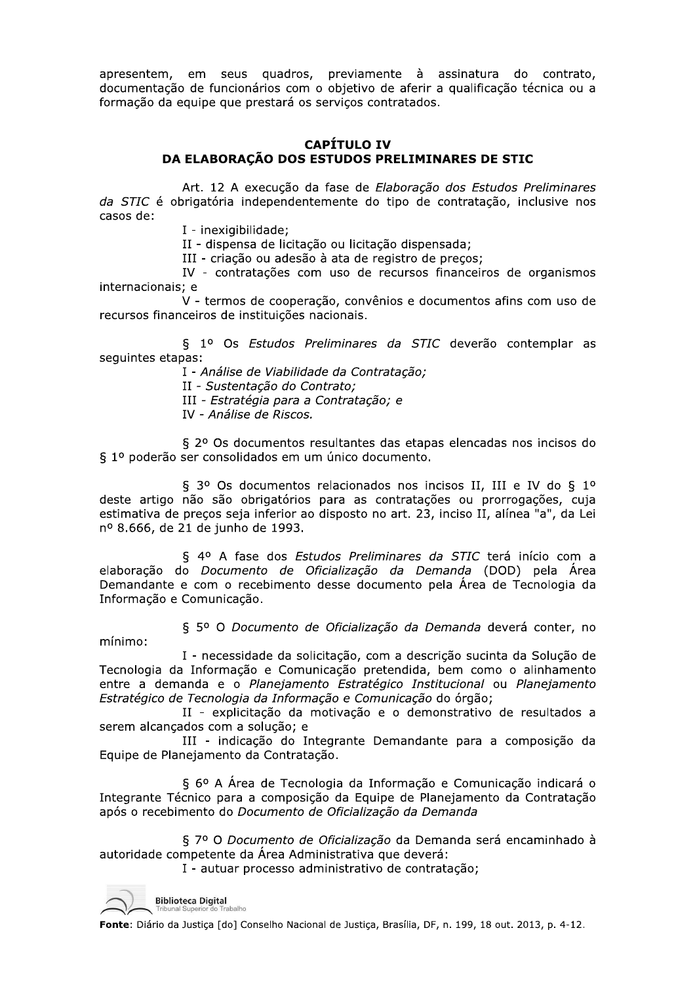apresentem, em seus quadros, previamente à assinatura do contrato, documentação de funcionários com o objetivo de aferir a qualificação técnica ou a formação da equipe que prestará os serviços contratados.

## **CAPÍTULO IV** DA ELABORAÇÃO DOS ESTUDOS PRELIMINARES DE STIC

Art. 12 A execução da fase de Elaboração dos Estudos Preliminares da STIC é obrigatória independentemente do tipo de contratação, inclusive nos casos de:

I - inexigibilidade:

II - dispensa de licitação ou licitação dispensada;

III - criação ou adesão à ata de registro de preços;

IV - contratações com uso de recursos financeiros de organismos internacionais; e

V - termos de cooperação, convênios e documentos afins com uso de recursos financeiros de instituições nacionais.

§ 1º Os Estudos Preliminares da STIC deverão contemplar as seguintes etapas:

I - Análise de Viabilidade da Contratação;

II - Sustentação do Contrato;

III - Estratégia para a Contratação; e

IV - Análise de Riscos.

§ 2º Os documentos resultantes das etapas elencadas nos incisos do § 1º poderão ser consolidados em um único documento.

§ 3º Os documentos relacionados nos incisos II, III e IV do § 1º deste artigo não são obrigatórios para as contratações ou prorrogações, cuja estimativa de preços seja inferior ao disposto no art. 23, inciso II, alínea "a", da Lei nº 8.666, de 21 de junho de 1993.

§ 4º A fase dos Estudos Preliminares da STIC terá início com a elaboracão do Documento de Oficializacão da Demanda (DOD) pela Área Demandante e com o recebimento desse documento pela Área de Tecnologia da Informação e Comunicação.

§ 5º O Documento de Oficialização da Demanda deverá conter, no mínimo:

I - necessidade da solicitação, com a descrição sucinta da Solução de Tecnologia da Informação e Comunicação pretendida, bem como o alinhamento entre a demanda e o Planejamento Estratégico Institucional ou Planejamento Estratégico de Tecnologia da Informação e Comunicação do órgão;

II - explicitação da motivação e o demonstrativo de resultados a serem alcançados com a solução: e

III - indicação do Integrante Demandante para a composição da Equipe de Planejamento da Contratação.

§ 6º A Área de Tecnologia da Informação e Comunicação indicará o Integrante Técnico para a composição da Equipe de Planejamento da Contratação após o recebimento do Documento de Oficialização da Demanda

§ 7º O Documento de Oficialização da Demanda será encaminhado à autoridade competente da Área Administrativa que deverá:

I - autuar processo administrativo de contratação;

**Biblioteca Digital**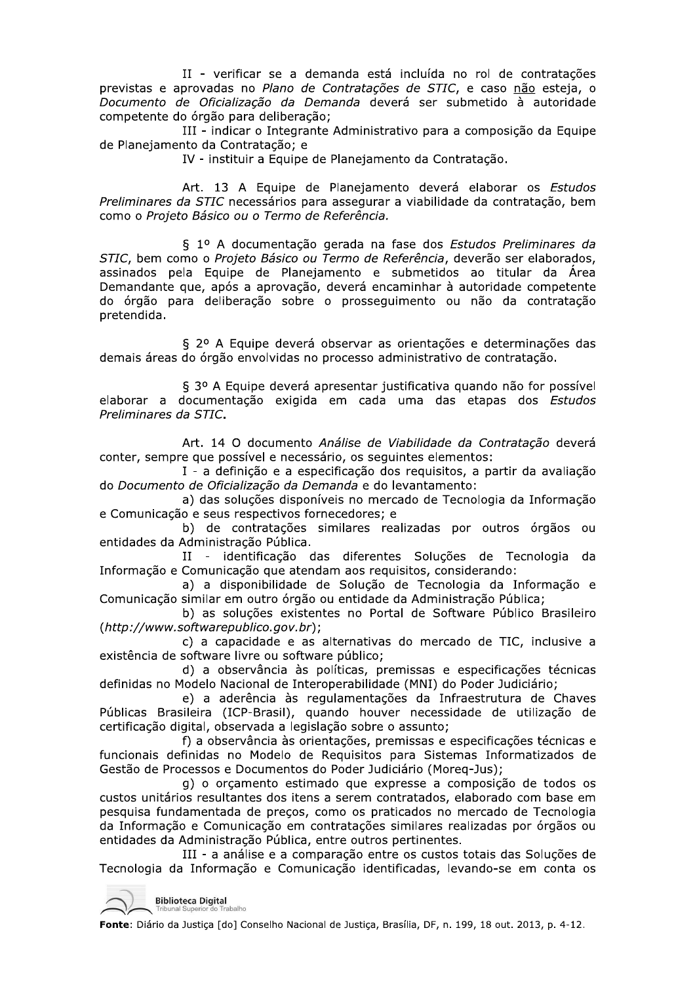II - verificar se a demanda esta incluída no roi de contra II - verificar se a demanda está incluída no rol de contratações<br>previstas e aprovadas no *Plano de Contratações de STIC*, e caso <u>não</u> esteja, o<br>*Documento de Oficialização da Demanda* deverá ser submetido à autoridade<br>co II - verificar se a<br>previstas e aprovadas no Plano<br>Documento de Oficialização da<br>competente do órgão para deliber<br>III - indicar o Integ<br>de Planejamento da Contratação;<br>IV - instituir a Equipe<br>Preliminares da STIC necessári previstas e aprovadas no Plano de Contratações de STIC, e caso não esteja, o Documento de Oficialização da Demanda devera ser submetido a autorio II - verificar se a demanda está incluída no rol de contratações<br>previstas e aprovadas no *Plano de Contratações de STIC*, e caso <u>não</u> esteja, o<br>*Documento de Oficialização da Demanda* deverá ser submetido à autoridade<br>co II - verificar se a deman<br>
evistas e aprovadas no *Plano de Con*<br>
ocumento de Oficialização da Deman<br>
mpetente do órgão para deliberação;<br>
III - indicar o Integrante Ac<br>
Planejamento da Contratação;<br>
IV - instituir a Equip a deliberação; demanda está incluída no rol de cor<br>*le Contratações de STIC*, e caso <u>não</u><br>De*manda* deverá ser submetido à a<br>ção;<br>ante Administrativo para a composição<br>e:<br>de Planejamento da Contratação.<br>de Planejamento deverá elaborar o II - verificar se a demanda está incluída no rol de contratações<br>previstas e aprovadas no *Plano de Contratações de STIC*, e caso <u>não</u> esteja, o<br>Documento de Oficialização da Demanda deverá ser submetido à autoridade<br>comp II - verificar se a demanda está incluída no<br>aprovadas no *Plano de Contratações de STIC*, e<br>de *Oficialização da Demanda* deverá ser subr<br>lo órgão para deliberação;<br>III - indicar o Integrante Administrativo para a c<br>nto d

111 - Indicar o Integrante Administra de Planejamento da Contratação; e

IV - instituir à Équipe de Planejamento da Contratação.

Art. I*s* A Equipe de Planejamento devera elaborar os *Estudos* Preliminares da S*T*LC necessarios para assegurar a viabilidade da contratação, bem como o Projeto Básico ou o Termo de Referência.

Provadas no *Plano de Contratações de STIC*,<br>
de *Oficialização da Demanda* deverá ser su<br>
do órgão para deliberação;<br>
III - indicar o Integrante Administrativo para a<br>
mento da Contratação;<br>
IV - instituir a Equipe de Pla e *Oficialização da Demanda* deverá<br>
e *Oficialização da Demanda* deverá<br>
il - indicar o Integrante Administrativo<br>
to da Contratação;<br>
El - instituir a Equipe de Planejamento<br>
Art. 13 A Equipe de Planejamento<br>
a STIC nece Í.  $\S$   $1^\circ$  A documentação gerada na fase dos *Estudos Preliminares da* STIC, bem como o *Projeto Basico ou Termo de Referencia*, deverao ser elabora Freliminares da STIC necessários para assegurar a viabilidade da contratação.<br>
Art. 13 A Equipe de Planejamento deverá elaborar os Estudos<br>
como o Projeto Básico ou o Termo de Referência.<br>
§ 1º A documentação gerada na fas assinados pela Equipe de Planejamento e submetidos ao titular da Área Art. 13 A Equipe de Planejamento deverá elaborar os Estudos<br>
Preliminares da STIC necessários para assegurar a viabilidade da contratação, bem<br>
como o *Projeto Básico ou o Termo de Referência.*<br>
§ 1º A documentação gerada ovação, devera encaminhar a autorio Art. 13 A Equipe de Planejamento deverá elaborar os *Estudos*<br>
Preliminares da STIC necessários para assegurar a viabilidade da contratação, bem<br>
como o *Projeto Básico ou o Termo de Referência.*<br>
S 1º A documentação gerad Preliminares da STIC necessári<br>como o Projeto Básico ou o Ter.<br>S 1º A documen<br>STIC, bem como o Projeto Bási<br>assinados pela Equipe de I<br>Demandante que, após a apro<br>do órgão para deliberação :<br>pretendida.<br>S 2º A Equipe de<br>de a deliberação sobre o prosseguimento ou não da contra A Equipe de Trancjamento devera<br>necessários para assegurar a viabilidad<br>o ou o Termo de Referência.<br>documentação gerada na fase dos E<br>ojeto Básico ou Termo de Referência, c<br>ipe de Planejamento e submetidos<br>ós a aprovação, ricumentos ar principalmentos de acentrales de contratação, permismentos de acentrales de serveiros de a STIC, bem como o *Projeto Básico ou o Termo de Referência*, deverão ser elaborados, assinados pela Equipe de Planejam pretendida.  $\S$  1º A documentação gerada<br>bem como o *Projeto Básico ou Termo d*<br>dos pela Equipe de Planejamento<br>idante que, após a aprovação, deverá<br>gão para deliberação sobre o pross<br>dida.<br> $\S$  2º A Equipe deverá observar<br>s áreas do Sa Projeto Básico ou Termo de Referência<br>
Equipe de Planejamento e submeti<br>
após a aprovação, deverá encaminha<br>
deliberação sobre o prosseguimento<br>
2 A Equipe deverá observar as orienta<br>
rgão envolvidas no processo adminis ndante que, após a aprovação, deverá<br>
rancejamento prospera deliberação sobre o pros<br>
ranceja de liberação sobre o pros<br>
rances do órgão envolvidas no process<br>
s 3º A Equipe deverá apresentar a documentação exigida em cain equipe de Trancjamento e sabineta<br>
após a aprovação, deverá encaminha<br>
deliberação sobre o prosseguimento<br>
<sup>o</sup> A Equipe deverá observar as orienta<br>
irgão envolvidas no processo administra<br>
<sup>o</sup> A Equipe deverá apresentar ju Sabruados puer de instruction de la contratação<br>
Demandante que, após a aprovação, deverá encaminhar à autoridade competente<br>
do órgão para deliberação sobre o prosseguimento ou não da contratação<br>
pretendida.<br>
S 2º A Equi

a observar as orientações e determinações das demais areas do orgão envolvidas no processo administrativo de contratação.

esentar justificativa quando nao for j elaborar a documentação exigida em cada uma das etapas dos *Estudos*<br>Preliminares *da STIC*. Extramental de disposa de disposa del disposa del disposa del disposa del disposa del disposa del pretendida.<br>
Subseted disposa del presentar disposable do disposa del disposa del pretendida.<br>
Subseted a contratação.<br>
Subs demais áreas do órgão envolvid<br>
§ 3º A Equipe de<br>
elaborar a documentação es<br> *Preliminares da STIC*.<br>
Art. 14 O docum<br>
conter, sempre que possível e r<br>
<sup>1</sup> - a definição e<br>
do *Documento de Oficialização*<br>
a) das soluções demais áreas do órgão envolvidas no prointed a Salemais áreas do órgão envolvidas no prointed a Saleman documentação exigida en<br>Preliminares da STIC.<br>Art. 14 O documento Anaconter, sempre que possível e necessário<br>I - a de Sa de Grave chronolas no processo administrativo de constante de la Sa de Grave de Viabilidade da Contra de Viabilidade da Contra de Viabilidade da Contra de Possível e necessário, os seguintes elementos:<br>1 - a definição e o duministrativo de contratação.<br>
ar justificativa quando não for possível<br>
ada uma das etapas dos *Estudos*<br>
de Viabilidade da Contratação deverá<br>
seguintes elementos:<br>
o dos requisitos, a partir da avaliação<br>
es do levan elaborar a documentação exigida em cada uma das etap-<br>
Preliminares da STIC.<br>
Art. 14 O documento Análise de Viabilidade da Co<br>
conter, sempre que possível e necessário, os seguintes elementos<br>
I - a definição e a especifi

Art. 14 O documento *Analise de Viabilidade da Contratação* devera conter, sempre que possível e necessário, os seguintes elementos:

tır da avallaçao

cado de Tecnología da Informação e Comunicação e seus respectivos fornecedores; e inares da STIC.<br>
Art. 14 O documento Análise<br>
7, sempre que possível e necessário, os<br>
1 - a definição e a especificaçã<br>
cumento de Oficialização da Demanda e<br>
a) das soluções disponíveis no<br>
unicação e seus respectivos fo álise de Viabilidade da Contratação de<br>o, os seguintes elementos:<br>ficação dos requisitos, a partir da avali<br>*nda* e do levantamento:<br>is no mercado de Tecnologia da Inform<br>cedores; e<br>illares realizadas por outros órgãos<br>dif Documento de Oficialização da Demanda e do levantamento:<br>
a de Oficialização da Demanda e do levantamento:<br>
a) das soluções disponíveis no mercado de Tecnologia da Info<br>
comunicação e seus respectivos fornecedores; e<br>
b) d

b) de contratações similares realizadas por outros orgãos ou entidades da Administração Publica.

II - identificação das diferentes Soluções de Techologia da Informação e Comunicação que atendam aos requisitos, considera

a) a disponibilidade de Solução de Tecnologia da Informação e Comunicação similar em outro orgão ou entidade da Administração Publica;

b) as soluções existentes no Portal de Software Publico Brasileiro

nativas do mercado de TIC, inclusive a existencia de software livre ou software

abilidade (MNI) do Poder Judiciario;

entidades da Administração Pública.<br>
II - identificação das dif<br>
Informação e Comunicação que atendam a<br>
a) a disponibilidade de Sol<br>
Comunicação similar em outro órgão ou ent<br>
b) as soluções existentes n<br>
(http://www.soft e) a aderencia as regulamentações da Infraestrutura de Chaves Publicas Brasileira (ICP-Brasil), quando nouver necessidade de utilização de certificação digital, observada a legislação sobre o assunto;

II - identificação das diferentes Soluçõ<br>Comunicação que atendam aos requisitos, con<br>a) a disponibilidade de Solução de Tecno<br>similar em outro órgão ou entidade da Adminii<br>b) as soluções existentes no Portal de Sofi<br>oftwar municação que atendam aos requisitos, consideral a disponibilidade de Solução de Tecnologia (<br>illar em outro órgão ou entidade da Administração<br>as soluções existentes no Portal de Software<br>warepublico.gov.br);<br>a capacidade Informação e Comunicação que atendam aos requisitos, considerando:<br>
a) a disponibilidade de Solução de Tecnologia da Informação e<br>
comunicação similar em outro órgão ou entidade da Administração Pública;<br>
b) as soluções ex alineação que actinam aos requisitos, ex<br>
disponibilidade de Solução de Tecn<br>
ar em outro órgão ou entidade da Admir<br>
s soluções existentes no Portal de Sc<br>
arepublico.gov.br);<br>
capacidade e as alternativas do mero<br>
are li r) a observancia as orie a Sistemas Informatizados de Gestao de Processos e Documentos do Poder Judiciario (Moreq-Jus);

solgovibrità do mercado de<br>
e ou software público;<br>
ância às políticas, premissas e espec<br>
al de Interoperabilidade (MNI) do Poder<br>
cia às regulamentações da Infraestr<br>
Brasil), quando houver necessidade<br>
da a legislação s (rhtp://www.souture/putations.com/mediations.com/mediations.com/mediations.com/mediations.com/mediations.com/mediations.com/mediations.com/mediations.com/mediations.com/mediations.com/mediations.com/mediations.com/mediatio g) o orçamento estimado que expresse a composição de todos os Secrvancia de Interoperabilidade (MNI) do Poder J<br>derência às regulamentações da Infraestrutt<br>ICP-Brasil), quando houver necessidade de<br>servada a legislação sobre o assunto;<br>ervância às orientações, premissas e específica<br> definidas no Modelo Nacional de Interoperabilidade (MNI) do Poder Judiciário;<br>
e) a aderência às regulamentações da Infraestrutura de Chaves<br>
Públicas Brasileira (ICP-Brasil), quando houver necessidade de utilização de<br>
ce ios resultantes dos itens a serem contratados, elabora Públicas Brasileira (ICP-Brasil), quando houver necessidade de utilização de<br>certificação digital, observada a legislação sobre o assunto;<br>f) a observância às orientações, premissas e especificações técnicas e<br>funcionais d Brasil), quando houver necessidade<br>ada a legislação sobre o assunto;<br>ncia às orientações, premissas e especi<br>10delo de Requisitos para Sistemas i<br>cumentos do Poder Judiciário (Moreq-Ju<br>ento estimado que expresse a compo<br>s aticados no mercado de Tecnología da Informação e Comunicação em contratações similares realizadas por orgãos ou r necessidade de dumzação de<br>assunto;<br>missas e especificações técnicas e<br>iário (Moreq-Jus);<br>resse a composição de todos os<br>tratados, elaborado com base em<br>icados no mercado de Tecnologia<br>imilares realizadas por órgãos ou<br>p entidades da Administração Publica, entre outro a registação sobre o assanto,<br>
a a orientações, premissas e especifica<br>
elo de Requisitos para Sistemas Info<br>
entos do Poder Judiciário (Moreq-Jus);<br>
bestimado que expresse a composiçã<br>
os itens a serem contratados, elabor r) a observancia as orientações, premissas e esper<br>finidas no Modelo de Requisitos para Sistemas<br>cessos e Documentos do Poder Judiciário (Moreq-<br>g) o orgamento estimado que expresse a comp<br>is resultantes dos itens a serem

pertinentes.<br>e os custos totais das Soluções de<br>ificadas, levando-se em conta os<br>asília, DF, n. 199, 18 out. 2013, p. 4-12. ação entre os custos totais das Soluções de Techologia da Informação e Comunicação identificadas, levando-se em conta os

**Fonte**: Diario da Justiça [do] Conseino Nacional de Justiça, Bra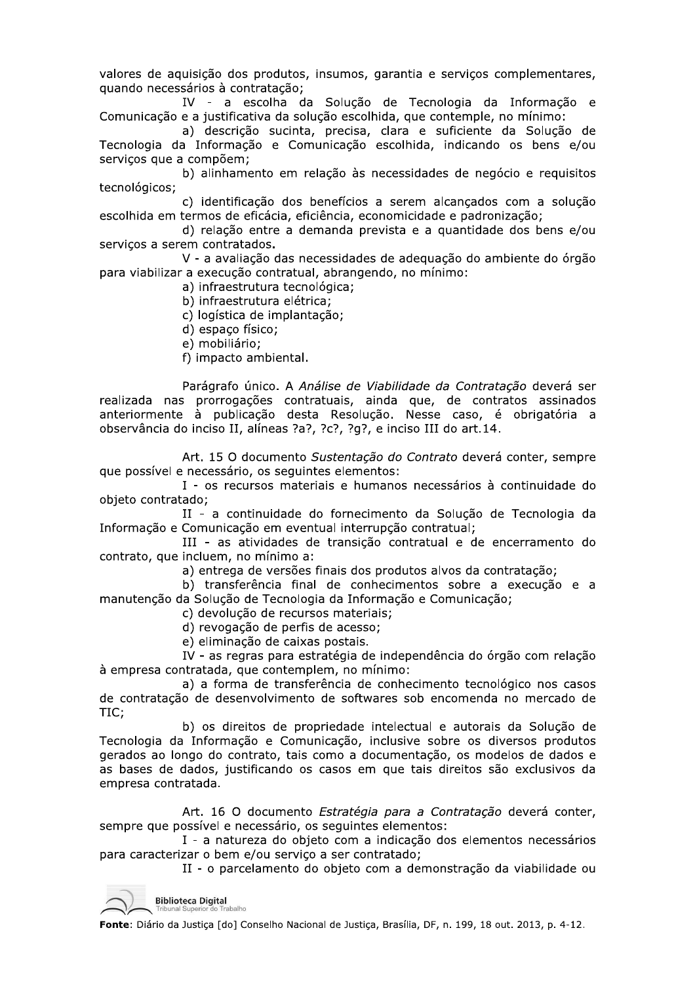valores de aquisição dos produtos, insumos, garantia e serviços complementares, quando necessários à contratação;

IV - a escolha da Solução de Tecnologia da Informação e Comunicação e a justificativa da solução escolhida, que contemple, no mínimo:

a) descrição sucinta, precisa, clara e suficiente da Solução de Tecnologia da Informação e Comunicação escolhida, indicando os bens e/ou serviços que a compõem;

b) alinhamento em relação às necessidades de negócio e requisitos tecnológicos;

c) identificação dos benefícios a serem alcançados com a solução escolhida em termos de eficácia, eficiência, economicidade e padronização;

d) relação entre a demanda prevista e a quantidade dos bens e/ou serviços a serem contratados.

V - a avaliação das necessidades de adeguação do ambiente do órgão para viabilizar a execução contratual, abrangendo, no mínimo:

a) infraestrutura tecnológica;

b) infraestrutura elétrica;

c) logística de implantação;

d) espaco físico;

e) mobiliário;

f) impacto ambiental.

Parágrafo único. A Análise de Viabilidade da Contratação deverá ser realizada nas prorrogações contratuais, ainda que, de contratos assinados anteriormente à publicação desta Resolução. Nesse caso, é obrigatória a observância do inciso II, alíneas ?a?, ?c?, ?q?, e inciso III do art.14.

Art. 15 O documento Sustentação do Contrato deverá conter, sempre que possível e necessário, os sequintes elementos:

I - os recursos materiais e humanos necessários à continuidade do objeto contratado;

II - a continuidade do fornecimento da Solução de Tecnologia da Informação e Comunicação em eventual interrupção contratual;

III - as atividades de transição contratual e de encerramento do contrato, que incluem, no mínimo a:

a) entrega de versões finais dos produtos alvos da contratação;

b) transferência final de conhecimentos sobre a execução e a manutenção da Solução de Tecnologia da Informação e Comunicação;

c) devolução de recursos materiais;

d) revogação de perfis de acesso;

e) eliminação de caixas postais.

IV - as regras para estratégia de independência do órgão com relação à empresa contratada, que contemplem, no mínimo:

a) a forma de transferência de conhecimento tecnológico nos casos de contratação de desenvolvimento de softwares sob encomenda no mercado de TIC:

b) os direitos de propriedade intelectual e autorais da Solução de Tecnologia da Informação e Comunicação, inclusive sobre os diversos produtos gerados ao longo do contrato, tais como a documentação, os modelos de dados e as bases de dados, justificando os casos em que tais direitos são exclusivos da empresa contratada.

Art. 16 O documento Estratégia para a Contratação deverá conter, sempre que possível e necessário, os sequintes elementos:

I - a natureza do objeto com a indicação dos elementos necessários para caracterizar o bem e/ou serviço a ser contratado;

II - o parcelamento do objeto com a demonstração da viabilidade ou

**Biblioteca Digital**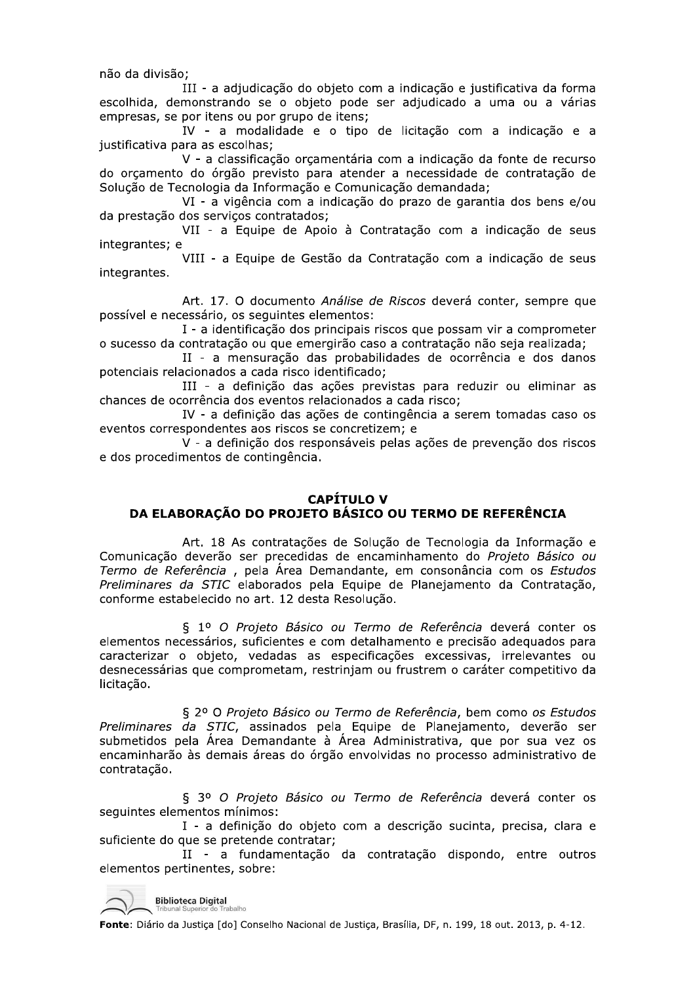não da divisão:

III - a adjudicação do objeto com a indicação e justificativa da forma escolhida, demonstrando se o objeto pode ser adjudicado a uma ou a várias empresas, se por itens ou por grupo de itens;

IV - a modalidade e o tipo de licitação com a indicação e a justificativa para as escolhas;

V - a classificação orçamentária com a indicação da fonte de recurso do orçamento do órgão previsto para atender a necessidade de contratação de Solução de Tecnologia da Informação e Comunicação demandada;

VI - a vigência com a indicação do prazo de garantia dos bens e/ou da prestação dos servicos contratados;

VII - a Equipe de Apoio à Contratação com a indicação de seus integrantes; e

VIII - a Equipe de Gestão da Contratação com a indicação de seus integrantes.

Art. 17. O documento Análise de Riscos deverá conter, sempre que possível e necessário, os sequintes elementos:

I - a identificação dos principais riscos que possam vir a comprometer o sucesso da contratação ou que emergirão caso a contratação não seja realizada;

II - a mensuração das probabilidades de ocorrência e dos danos potenciais relacionados a cada risco identificado;

III - a definição das ações previstas para reduzir ou eliminar as chances de ocorrência dos eventos relacionados a cada risco;

IV - a definição das ações de contingência a serem tomadas caso os eventos correspondentes aos riscos se concretizem; e

V - a definição dos responsáveis pelas ações de prevenção dos riscos e dos procedimentos de contingência.

# **CAPÍTULO V** DA ELABORACÃO DO PROJETO BÁSICO OU TERMO DE REFERÊNCIA

Art. 18 As contratações de Solução de Tecnologia da Informação e Comunicação deverão ser precedidas de encaminhamento do Projeto Básico ou Termo de Referência, pela Área Demandante, em consonância com os Estudos<br>Preliminares da STIC elaborados pela Equipe de Planejamento da Contratação, conforme estabelecido no art. 12 desta Resolução.

§ 1º O Projeto Básico ou Termo de Referência deverá conter os elementos necessários, suficientes e com detalhamento e precisão adequados para caracterizar o objeto, vedadas as especificações excessivas, irrelevantes ou desnecessárias que comprometam, restrinjam ou frustrem o caráter competitivo da licitação.

§ 2º O Projeto Básico ou Termo de Referência, bem como os Estudos Preliminares da STIC, assinados pela Equipe de Planejamento, deverão ser submetidos pela Área Demandante à Área Administrativa, que por sua vez os encaminharão às demais áreas do órgão envolvidas no processo administrativo de contratação.

§ 3º O Projeto Básico ou Termo de Referência deverá conter os seguintes elementos mínimos:

I - a definição do objeto com a descrição sucinta, precisa, clara e suficiente do que se pretende contratar;

II - a fundamentação da contratação dispondo, entre outros elementos pertinentes, sobre:

**Biblioteca Digital**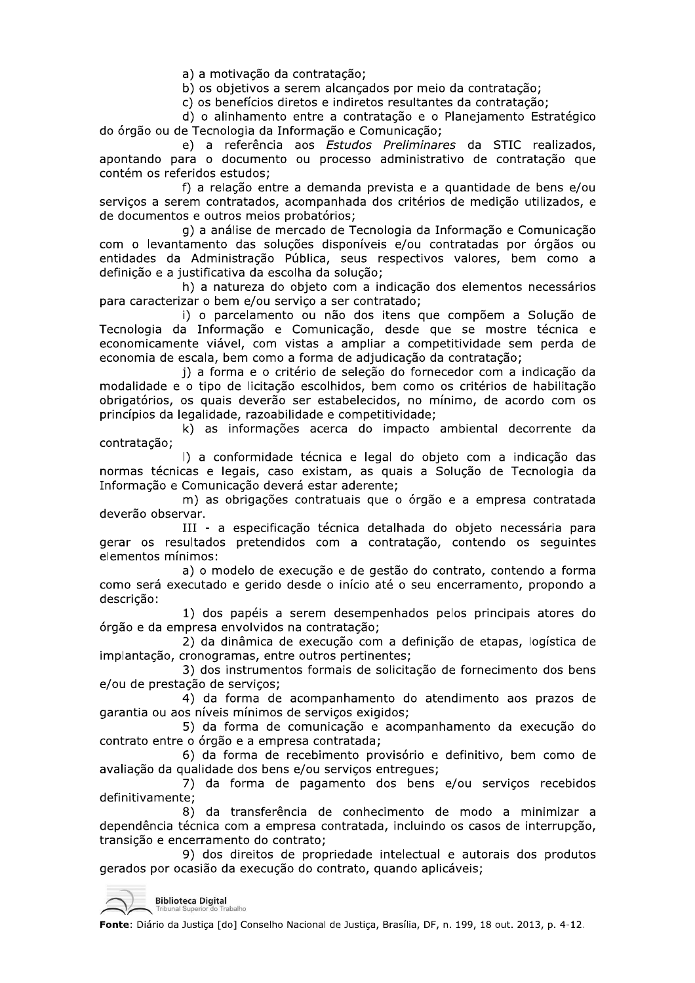a) a motivação da contratação;

b) os objetivos a serem alcancados por meio da contratação;

c) os benefícios diretos e indiretos resultantes da contratação;

d) o alinhamento entre a contratação e o Planejamento Estratégico do órgão ou de Tecnologia da Informação e Comunicação;

e) a referência aos Estudos Preliminares da STIC realizados, apontando para o documento ou processo administrativo de contratação que contém os referidos estudos;

f) a relação entre a demanda prevista e a quantidade de bens e/ou servicos a serem contratados, acompanhada dos critérios de medição utilizados, e de documentos e outros meios probatórios;

g) a análise de mercado de Tecnologia da Informação e Comunicação com o levantamento das soluções disponíveis e/ou contratadas por órgãos ou entidades da Administração Pública, seus respectivos valores, bem como a definição e a justificativa da escolha da solução;

h) a natureza do objeto com a indicação dos elementos necessários para caracterizar o bem e/ou serviço a ser contratado;

i) o parcelamento ou não dos itens que compõem a Solução de Tecnologia da Informação e Comunicação, desde que se mostre técnica e economicamente viável, com vistas a ampliar a competitividade sem perda de economia de escala, bem como a forma de adiudicação da contratação;

j) a forma e o critério de seleção do fornecedor com a indicação da modalidade e o tipo de licitação escolhidos, bem como os critérios de habilitação obrigatórios, os quais deverão ser estabelecidos, no mínimo, de acordo com os princípios da legalidade, razoabilidade e competitividade;

k) as informações acerca do impacto ambiental decorrente da contratação;

I) a conformidade técnica e legal do objeto com a indicação das normas técnicas e legais, caso existam, as quais a Solução de Tecnologia da Informação e Comunicação deverá estar aderente;

m) as obrigações contratuais que o órgão e a empresa contratada deverão observar.

III - a especificação técnica detalhada do objeto necessária para gerar os resultados pretendidos com a contratação, contendo os seguintes elementos mínimos:

a) o modelo de execução e de gestão do contrato, contendo a forma como será executado e gerido desde o início até o seu encerramento, propondo a descrição:

1) dos papéis a serem desempenhados pelos principais atores do órgão e da empresa envolvidos na contratação;

2) da dinâmica de execução com a definição de etapas, logística de implantação, cronogramas, entre outros pertinentes;

3) dos instrumentos formais de solicitação de fornecimento dos bens e/ou de prestação de serviços;

4) da forma de acompanhamento do atendimento aos prazos de garantia ou aos níveis mínimos de serviços exigidos;

5) da forma de comunicação e acompanhamento da execução do contrato entre o órgão e a empresa contratada;

6) da forma de recebimento provisório e definitivo, bem como de avaliação da qualidade dos bens e/ou serviços entregues;

7) da forma de pagamento dos bens e/ou serviços recebidos definitivamente;

8) da transferência de conhecimento de modo a minimizar a dependência técnica com a empresa contratada, incluindo os casos de interrupção, transição e encerramento do contrato;

9) dos direitos de propriedade intelectual e autorais dos produtos gerados por ocasião da execução do contrato, quando aplicáveis;

**Biblioteca Digital**